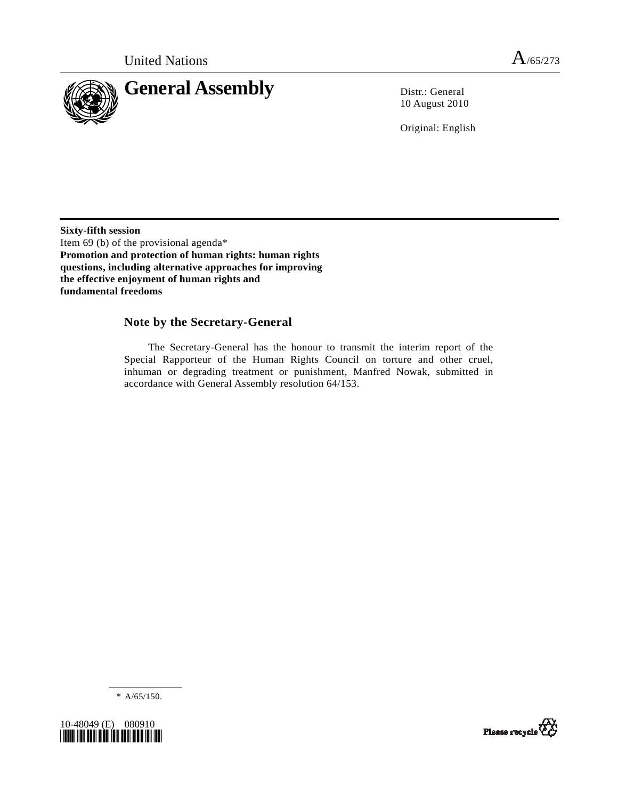

10 August 2010

Original: English

**Sixty-fifth session**  Item 69 (b) of the provisional agenda\* **Promotion and protection of human rights: human rights questions, including alternative approaches for improving the effective enjoyment of human rights and fundamental freedoms** 

## **Note by the Secretary-General**

 The Secretary-General has the honour to transmit the interim report of the Special Rapporteur of the Human Rights Council on torture and other cruel, inhuman or degrading treatment or punishment, Manfred Nowak, submitted in accordance with General Assembly resolution 64/153.

\* A/65/150.



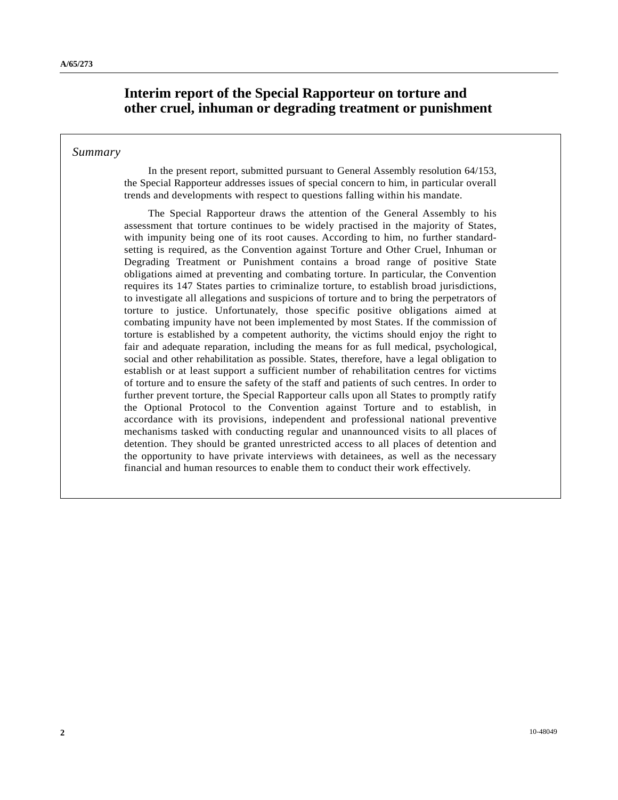## **Interim report of the Special Rapporteur on torture and other cruel, inhuman or degrading treatment or punishment**

### *Summary*

 In the present report, submitted pursuant to General Assembly resolution 64/153, the Special Rapporteur addresses issues of special concern to him, in particular overall trends and developments with respect to questions falling within his mandate.

 The Special Rapporteur draws the attention of the General Assembly to his assessment that torture continues to be widely practised in the majority of States, with impunity being one of its root causes. According to him, no further standardsetting is required, as the Convention against Torture and Other Cruel, Inhuman or Degrading Treatment or Punishment contains a broad range of positive State obligations aimed at preventing and combating torture. In particular, the Convention requires its 147 States parties to criminalize torture, to establish broad jurisdictions, to investigate all allegations and suspicions of torture and to bring the perpetrators of torture to justice. Unfortunately, those specific positive obligations aimed at combating impunity have not been implemented by most States. If the commission of torture is established by a competent authority, the victims should enjoy the right to fair and adequate reparation, including the means for as full medical, psychological, social and other rehabilitation as possible. States, therefore, have a legal obligation to establish or at least support a sufficient number of rehabilitation centres for victims of torture and to ensure the safety of the staff and patients of such centres. In order to further prevent torture, the Special Rapporteur calls upon all States to promptly ratify the Optional Protocol to the Convention against Torture and to establish, in accordance with its provisions, independent and professional national preventive mechanisms tasked with conducting regular and unannounced visits to all places of detention. They should be granted unrestricted access to all places of detention and the opportunity to have private interviews with detainees, as well as the necessary financial and human resources to enable them to conduct their work effectively.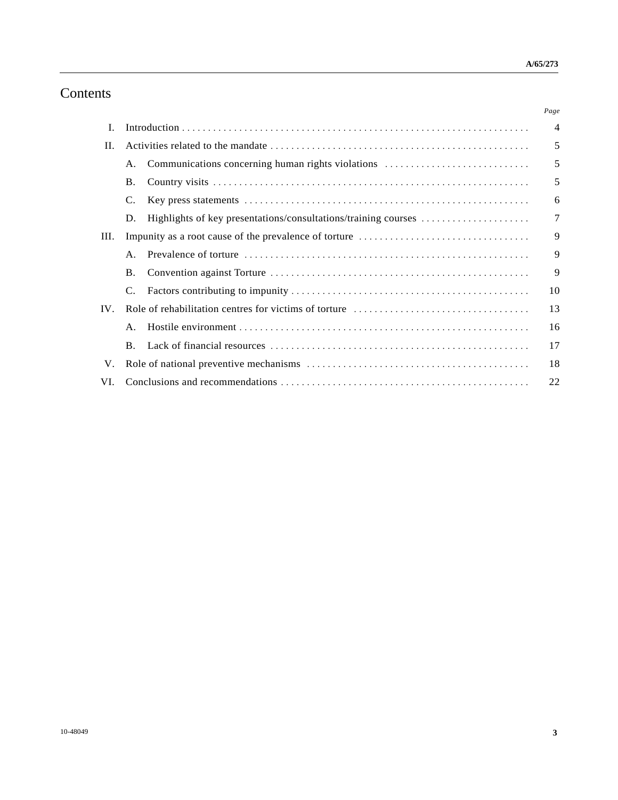# Contents

|                |                                                                | Page           |
|----------------|----------------------------------------------------------------|----------------|
|                |                                                                | $\overline{4}$ |
|                |                                                                | 5              |
| A.             | Communications concerning human rights violations              | 5              |
| <b>B.</b>      |                                                                | 5              |
| C.             |                                                                | 6              |
| D.             | Highlights of key presentations/consultations/training courses | $\overline{7}$ |
| III.           |                                                                | 9              |
| $A_{\cdot}$    |                                                                | 9              |
| <b>B.</b>      |                                                                | 9              |
|                |                                                                | 10             |
|                |                                                                |                |
| A <sub>1</sub> |                                                                | 16             |
| $\mathbf{B}$ . |                                                                | 17             |
|                |                                                                | 18             |
|                |                                                                | 22             |
|                |                                                                |                |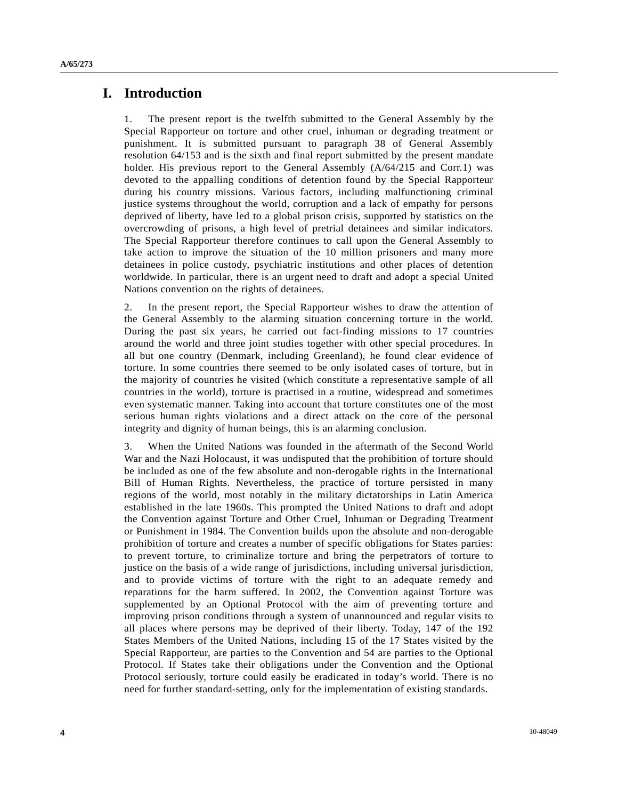## **I. Introduction**

1. The present report is the twelfth submitted to the General Assembly by the Special Rapporteur on torture and other cruel, inhuman or degrading treatment or punishment. It is submitted pursuant to paragraph 38 of General Assembly resolution 64/153 and is the sixth and final report submitted by the present mandate holder. His previous report to the General Assembly  $(A/64/215$  and Corr.1) was devoted to the appalling conditions of detention found by the Special Rapporteur during his country missions. Various factors, including malfunctioning criminal justice systems throughout the world, corruption and a lack of empathy for persons deprived of liberty, have led to a global prison crisis, supported by statistics on the overcrowding of prisons, a high level of pretrial detainees and similar indicators. The Special Rapporteur therefore continues to call upon the General Assembly to take action to improve the situation of the 10 million prisoners and many more detainees in police custody, psychiatric institutions and other places of detention worldwide. In particular, there is an urgent need to draft and adopt a special United Nations convention on the rights of detainees.

2. In the present report, the Special Rapporteur wishes to draw the attention of the General Assembly to the alarming situation concerning torture in the world. During the past six years, he carried out fact-finding missions to 17 countries around the world and three joint studies together with other special procedures. In all but one country (Denmark, including Greenland), he found clear evidence of torture. In some countries there seemed to be only isolated cases of torture, but in the majority of countries he visited (which constitute a representative sample of all countries in the world), torture is practised in a routine, widespread and sometimes even systematic manner. Taking into account that torture constitutes one of the most serious human rights violations and a direct attack on the core of the personal integrity and dignity of human beings, this is an alarming conclusion.

3. When the United Nations was founded in the aftermath of the Second World War and the Nazi Holocaust, it was undisputed that the prohibition of torture should be included as one of the few absolute and non-derogable rights in the International Bill of Human Rights. Nevertheless, the practice of torture persisted in many regions of the world, most notably in the military dictatorships in Latin America established in the late 1960s. This prompted the United Nations to draft and adopt the Convention against Torture and Other Cruel, Inhuman or Degrading Treatment or Punishment in 1984. The Convention builds upon the absolute and non-derogable prohibition of torture and creates a number of specific obligations for States parties: to prevent torture, to criminalize torture and bring the perpetrators of torture to justice on the basis of a wide range of jurisdictions, including universal jurisdiction, and to provide victims of torture with the right to an adequate remedy and reparations for the harm suffered. In 2002, the Convention against Torture was supplemented by an Optional Protocol with the aim of preventing torture and improving prison conditions through a system of unannounced and regular visits to all places where persons may be deprived of their liberty. Today, 147 of the 192 States Members of the United Nations, including 15 of the 17 States visited by the Special Rapporteur, are parties to the Convention and 54 are parties to the Optional Protocol. If States take their obligations under the Convention and the Optional Protocol seriously, torture could easily be eradicated in today's world. There is no need for further standard-setting, only for the implementation of existing standards.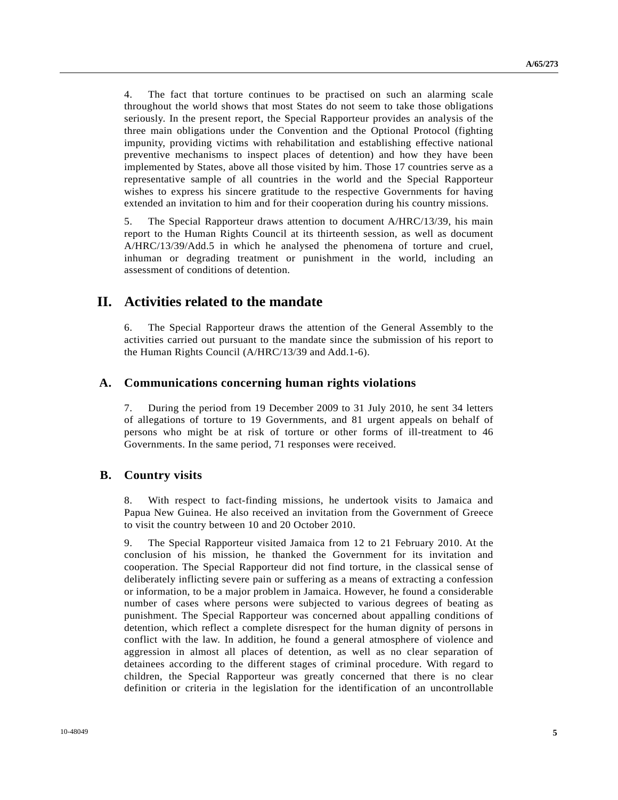4. The fact that torture continues to be practised on such an alarming scale throughout the world shows that most States do not seem to take those obligations seriously. In the present report, the Special Rapporteur provides an analysis of the three main obligations under the Convention and the Optional Protocol (fighting impunity, providing victims with rehabilitation and establishing effective national preventive mechanisms to inspect places of detention) and how they have been implemented by States, above all those visited by him. Those 17 countries serve as a representative sample of all countries in the world and the Special Rapporteur wishes to express his sincere gratitude to the respective Governments for having extended an invitation to him and for their cooperation during his country missions.

5. The Special Rapporteur draws attention to document A/HRC/13/39, his main report to the Human Rights Council at its thirteenth session, as well as document A/HRC/13/39/Add.5 in which he analysed the phenomena of torture and cruel, inhuman or degrading treatment or punishment in the world, including an assessment of conditions of detention.

## **II. Activities related to the mandate**

6. The Special Rapporteur draws the attention of the General Assembly to the activities carried out pursuant to the mandate since the submission of his report to the Human Rights Council (A/HRC/13/39 and Add.1-6).

### **A. Communications concerning human rights violations**

7. During the period from 19 December 2009 to 31 July 2010, he sent 34 letters of allegations of torture to 19 Governments, and 81 urgent appeals on behalf of persons who might be at risk of torture or other forms of ill-treatment to 46 Governments. In the same period, 71 responses were received.

### **B. Country visits**

8. With respect to fact-finding missions, he undertook visits to Jamaica and Papua New Guinea. He also received an invitation from the Government of Greece to visit the country between 10 and 20 October 2010.

9. The Special Rapporteur visited Jamaica from 12 to 21 February 2010. At the conclusion of his mission, he thanked the Government for its invitation and cooperation. The Special Rapporteur did not find torture, in the classical sense of deliberately inflicting severe pain or suffering as a means of extracting a confession or information, to be a major problem in Jamaica. However, he found a considerable number of cases where persons were subjected to various degrees of beating as punishment. The Special Rapporteur was concerned about appalling conditions of detention, which reflect a complete disrespect for the human dignity of persons in conflict with the law. In addition, he found a general atmosphere of violence and aggression in almost all places of detention, as well as no clear separation of detainees according to the different stages of criminal procedure. With regard to children, the Special Rapporteur was greatly concerned that there is no clear definition or criteria in the legislation for the identification of an uncontrollable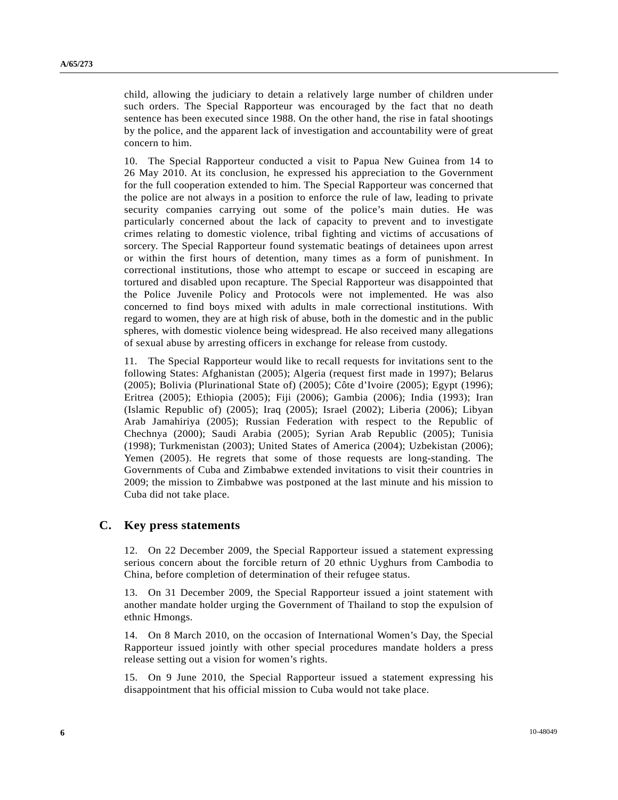child, allowing the judiciary to detain a relatively large number of children under such orders. The Special Rapporteur was encouraged by the fact that no death sentence has been executed since 1988. On the other hand, the rise in fatal shootings by the police, and the apparent lack of investigation and accountability were of great concern to him.

10. The Special Rapporteur conducted a visit to Papua New Guinea from 14 to 26 May 2010. At its conclusion, he expressed his appreciation to the Government for the full cooperation extended to him. The Special Rapporteur was concerned that the police are not always in a position to enforce the rule of law, leading to private security companies carrying out some of the police's main duties. He was particularly concerned about the lack of capacity to prevent and to investigate crimes relating to domestic violence, tribal fighting and victims of accusations of sorcery. The Special Rapporteur found systematic beatings of detainees upon arrest or within the first hours of detention, many times as a form of punishment. In correctional institutions, those who attempt to escape or succeed in escaping are tortured and disabled upon recapture. The Special Rapporteur was disappointed that the Police Juvenile Policy and Protocols were not implemented. He was also concerned to find boys mixed with adults in male correctional institutions. With regard to women, they are at high risk of abuse, both in the domestic and in the public spheres, with domestic violence being widespread. He also received many allegations of sexual abuse by arresting officers in exchange for release from custody.

11. The Special Rapporteur would like to recall requests for invitations sent to the following States: Afghanistan (2005); Algeria (request first made in 1997); Belarus (2005); Bolivia (Plurinational State of) (2005); Côte d'Ivoire (2005); Egypt (1996); Eritrea (2005); Ethiopia (2005); Fiji (2006); Gambia (2006); India (1993); Iran (Islamic Republic of) (2005); Iraq (2005); Israel (2002); Liberia (2006); Libyan Arab Jamahiriya (2005); Russian Federation with respect to the Republic of Chechnya (2000); Saudi Arabia (2005); Syrian Arab Republic (2005); Tunisia (1998); Turkmenistan (2003); United States of America (2004); Uzbekistan (2006); Yemen (2005). He regrets that some of those requests are long-standing. The Governments of Cuba and Zimbabwe extended invitations to visit their countries in 2009; the mission to Zimbabwe was postponed at the last minute and his mission to Cuba did not take place.

### **C. Key press statements**

12. On 22 December 2009, the Special Rapporteur issued a statement expressing serious concern about the forcible return of 20 ethnic Uyghurs from Cambodia to China, before completion of determination of their refugee status.

13. On 31 December 2009, the Special Rapporteur issued a joint statement with another mandate holder urging the Government of Thailand to stop the expulsion of ethnic Hmongs.

14. On 8 March 2010, on the occasion of International Women's Day, the Special Rapporteur issued jointly with other special procedures mandate holders a press release setting out a vision for women's rights.

15. On 9 June 2010, the Special Rapporteur issued a statement expressing his disappointment that his official mission to Cuba would not take place.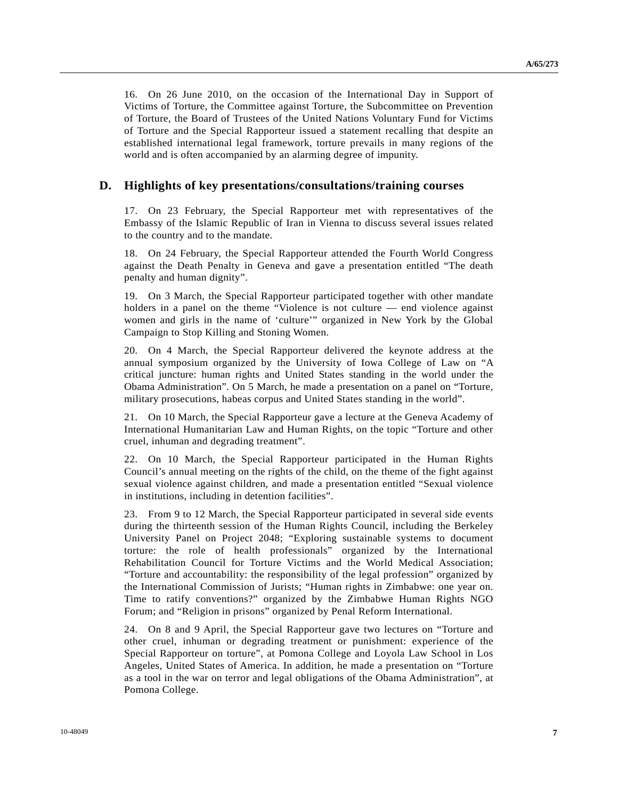16. On 26 June 2010, on the occasion of the International Day in Support of Victims of Torture, the Committee against Torture, the Subcommittee on Prevention of Torture, the Board of Trustees of the United Nations Voluntary Fund for Victims of Torture and the Special Rapporteur issued a statement recalling that despite an established international legal framework, torture prevails in many regions of the world and is often accompanied by an alarming degree of impunity.

### **D. Highlights of key presentations/consultations/training courses**

17. On 23 February, the Special Rapporteur met with representatives of the Embassy of the Islamic Republic of Iran in Vienna to discuss several issues related to the country and to the mandate.

18. On 24 February, the Special Rapporteur attended the Fourth World Congress against the Death Penalty in Geneva and gave a presentation entitled "The death penalty and human dignity".

19. On 3 March, the Special Rapporteur participated together with other mandate holders in a panel on the theme "Violence is not culture — end violence against women and girls in the name of 'culture'" organized in New York by the Global Campaign to Stop Killing and Stoning Women.

20. On 4 March, the Special Rapporteur delivered the keynote address at the annual symposium organized by the University of Iowa College of Law on "A critical juncture: human rights and United States standing in the world under the Obama Administration". On 5 March, he made a presentation on a panel on "Torture, military prosecutions, habeas corpus and United States standing in the world".

21. On 10 March, the Special Rapporteur gave a lecture at the Geneva Academy of International Humanitarian Law and Human Rights, on the topic "Torture and other cruel, inhuman and degrading treatment".

22. On 10 March, the Special Rapporteur participated in the Human Rights Council's annual meeting on the rights of the child, on the theme of the fight against sexual violence against children, and made a presentation entitled "Sexual violence in institutions, including in detention facilities".

23. From 9 to 12 March, the Special Rapporteur participated in several side events during the thirteenth session of the Human Rights Council, including the Berkeley University Panel on Project 2048; "Exploring sustainable systems to document torture: the role of health professionals" organized by the International Rehabilitation Council for Torture Victims and the World Medical Association; "Torture and accountability: the responsibility of the legal profession" organized by the International Commission of Jurists; "Human rights in Zimbabwe: one year on. Time to ratify conventions?" organized by the Zimbabwe Human Rights NGO Forum; and "Religion in prisons" organized by Penal Reform International.

24. On 8 and 9 April, the Special Rapporteur gave two lectures on "Torture and other cruel, inhuman or degrading treatment or punishment: experience of the Special Rapporteur on torture", at Pomona College and Loyola Law School in Los Angeles, United States of America. In addition, he made a presentation on "Torture as a tool in the war on terror and legal obligations of the Obama Administration", at Pomona College.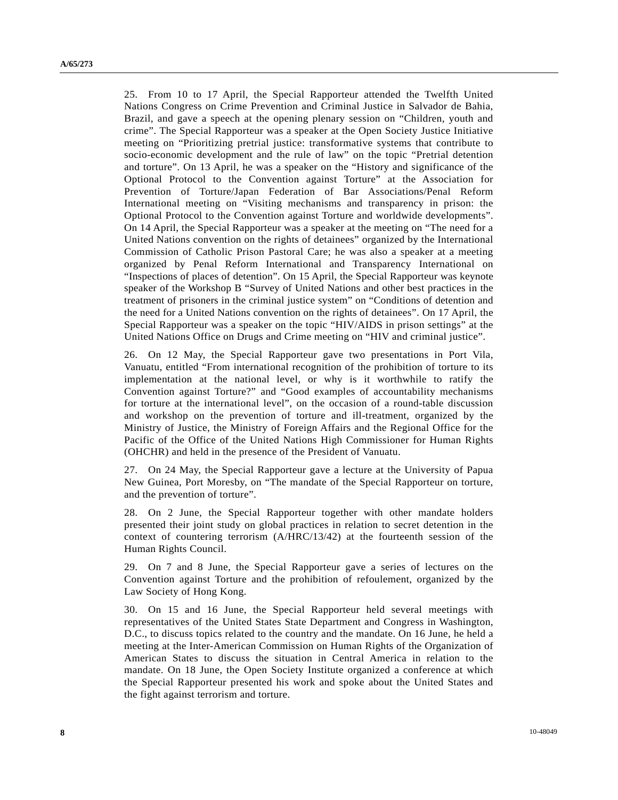25. From 10 to 17 April, the Special Rapporteur attended the Twelfth United Nations Congress on Crime Prevention and Criminal Justice in Salvador de Bahia, Brazil, and gave a speech at the opening plenary session on "Children, youth and crime". The Special Rapporteur was a speaker at the Open Society Justice Initiative meeting on "Prioritizing pretrial justice: transformative systems that contribute to socio-economic development and the rule of law" on the topic "Pretrial detention and torture". On 13 April, he was a speaker on the "History and significance of the Optional Protocol to the Convention against Torture" at the Association for Prevention of Torture/Japan Federation of Bar Associations/Penal Reform International meeting on "Visiting mechanisms and transparency in prison: the Optional Protocol to the Convention against Torture and worldwide developments". On 14 April, the Special Rapporteur was a speaker at the meeting on "The need for a United Nations convention on the rights of detainees" organized by the International Commission of Catholic Prison Pastoral Care; he was also a speaker at a meeting organized by Penal Reform International and Transparency International on "Inspections of places of detention". On 15 April, the Special Rapporteur was keynote speaker of the Workshop B "Survey of United Nations and other best practices in the treatment of prisoners in the criminal justice system" on "Conditions of detention and the need for a United Nations convention on the rights of detainees". On 17 April, the Special Rapporteur was a speaker on the topic "HIV/AIDS in prison settings" at the United Nations Office on Drugs and Crime meeting on "HIV and criminal justice".

26. On 12 May, the Special Rapporteur gave two presentations in Port Vila, Vanuatu, entitled "From international recognition of the prohibition of torture to its implementation at the national level, or why is it worthwhile to ratify the Convention against Torture?" and "Good examples of accountability mechanisms for torture at the international level", on the occasion of a round-table discussion and workshop on the prevention of torture and ill-treatment, organized by the Ministry of Justice, the Ministry of Foreign Affairs and the Regional Office for the Pacific of the Office of the United Nations High Commissioner for Human Rights (OHCHR) and held in the presence of the President of Vanuatu.

27. On 24 May, the Special Rapporteur gave a lecture at the University of Papua New Guinea, Port Moresby, on "The mandate of the Special Rapporteur on torture, and the prevention of torture".

28. On 2 June, the Special Rapporteur together with other mandate holders presented their joint study on global practices in relation to secret detention in the context of countering terrorism (A/HRC/13/42) at the fourteenth session of the Human Rights Council.

29. On 7 and 8 June, the Special Rapporteur gave a series of lectures on the Convention against Torture and the prohibition of refoulement, organized by the Law Society of Hong Kong.

30. On 15 and 16 June, the Special Rapporteur held several meetings with representatives of the United States State Department and Congress in Washington, D.C., to discuss topics related to the country and the mandate. On 16 June, he held a meeting at the Inter-American Commission on Human Rights of the Organization of American States to discuss the situation in Central America in relation to the mandate. On 18 June, the Open Society Institute organized a conference at which the Special Rapporteur presented his work and spoke about the United States and the fight against terrorism and torture.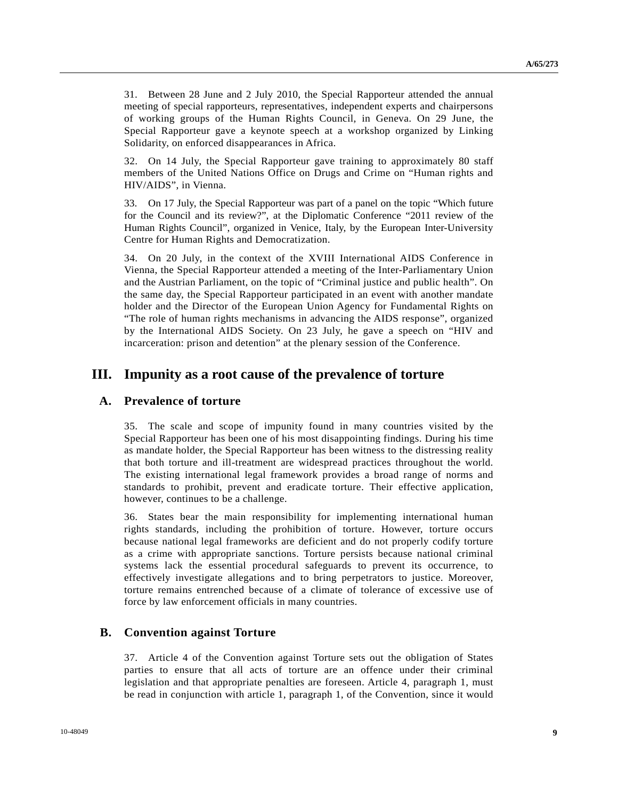31. Between 28 June and 2 July 2010, the Special Rapporteur attended the annual meeting of special rapporteurs, representatives, independent experts and chairpersons of working groups of the Human Rights Council, in Geneva. On 29 June, the Special Rapporteur gave a keynote speech at a workshop organized by Linking Solidarity, on enforced disappearances in Africa.

32. On 14 July, the Special Rapporteur gave training to approximately 80 staff members of the United Nations Office on Drugs and Crime on "Human rights and HIV/AIDS", in Vienna.

33. On 17 July, the Special Rapporteur was part of a panel on the topic "Which future for the Council and its review?", at the Diplomatic Conference "2011 review of the Human Rights Council", organized in Venice, Italy, by the European Inter-University Centre for Human Rights and Democratization.

34. On 20 July, in the context of the XVIII International AIDS Conference in Vienna, the Special Rapporteur attended a meeting of the Inter-Parliamentary Union and the Austrian Parliament, on the topic of "Criminal justice and public health". On the same day, the Special Rapporteur participated in an event with another mandate holder and the Director of the European Union Agency for Fundamental Rights on "The role of human rights mechanisms in advancing the AIDS response", organized by the International AIDS Society. On 23 July, he gave a speech on "HIV and incarceration: prison and detention" at the plenary session of the Conference.

## **III. Impunity as a root cause of the prevalence of torture**

### **A. Prevalence of torture**

35. The scale and scope of impunity found in many countries visited by the Special Rapporteur has been one of his most disappointing findings. During his time as mandate holder, the Special Rapporteur has been witness to the distressing reality that both torture and ill-treatment are widespread practices throughout the world. The existing international legal framework provides a broad range of norms and standards to prohibit, prevent and eradicate torture. Their effective application, however, continues to be a challenge.

36. States bear the main responsibility for implementing international human rights standards, including the prohibition of torture. However, torture occurs because national legal frameworks are deficient and do not properly codify torture as a crime with appropriate sanctions. Torture persists because national criminal systems lack the essential procedural safeguards to prevent its occurrence, to effectively investigate allegations and to bring perpetrators to justice. Moreover, torture remains entrenched because of a climate of tolerance of excessive use of force by law enforcement officials in many countries.

## **B. Convention against Torture**

37. Article 4 of the Convention against Torture sets out the obligation of States parties to ensure that all acts of torture are an offence under their criminal legislation and that appropriate penalties are foreseen. Article 4, paragraph 1, must be read in conjunction with article 1, paragraph 1, of the Convention, since it would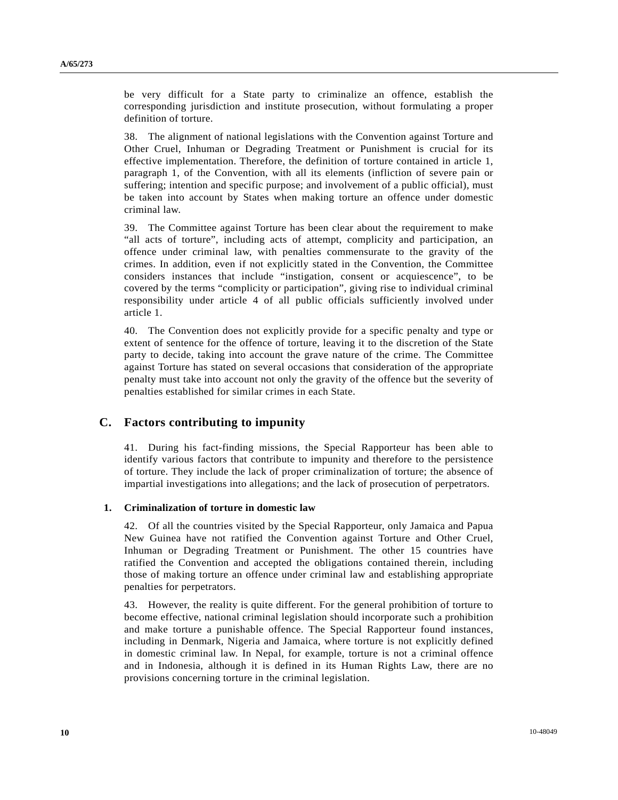be very difficult for a State party to criminalize an offence, establish the corresponding jurisdiction and institute prosecution, without formulating a proper definition of torture.

38. The alignment of national legislations with the Convention against Torture and Other Cruel, Inhuman or Degrading Treatment or Punishment is crucial for its effective implementation. Therefore, the definition of torture contained in article 1, paragraph 1, of the Convention, with all its elements (infliction of severe pain or suffering; intention and specific purpose; and involvement of a public official), must be taken into account by States when making torture an offence under domestic criminal law.

39. The Committee against Torture has been clear about the requirement to make "all acts of torture", including acts of attempt, complicity and participation, an offence under criminal law, with penalties commensurate to the gravity of the crimes. In addition, even if not explicitly stated in the Convention, the Committee considers instances that include "instigation, consent or acquiescence", to be covered by the terms "complicity or participation", giving rise to individual criminal responsibility under article 4 of all public officials sufficiently involved under article 1.

40. The Convention does not explicitly provide for a specific penalty and type or extent of sentence for the offence of torture, leaving it to the discretion of the State party to decide, taking into account the grave nature of the crime. The Committee against Torture has stated on several occasions that consideration of the appropriate penalty must take into account not only the gravity of the offence but the severity of penalties established for similar crimes in each State.

## **C. Factors contributing to impunity**

41. During his fact-finding missions, the Special Rapporteur has been able to identify various factors that contribute to impunity and therefore to the persistence of torture. They include the lack of proper criminalization of torture; the absence of impartial investigations into allegations; and the lack of prosecution of perpetrators.

#### **1. Criminalization of torture in domestic law**

42. Of all the countries visited by the Special Rapporteur, only Jamaica and Papua New Guinea have not ratified the Convention against Torture and Other Cruel, Inhuman or Degrading Treatment or Punishment. The other 15 countries have ratified the Convention and accepted the obligations contained therein, including those of making torture an offence under criminal law and establishing appropriate penalties for perpetrators.

43. However, the reality is quite different. For the general prohibition of torture to become effective, national criminal legislation should incorporate such a prohibition and make torture a punishable offence. The Special Rapporteur found instances, including in Denmark, Nigeria and Jamaica, where torture is not explicitly defined in domestic criminal law. In Nepal, for example, torture is not a criminal offence and in Indonesia, although it is defined in its Human Rights Law, there are no provisions concerning torture in the criminal legislation.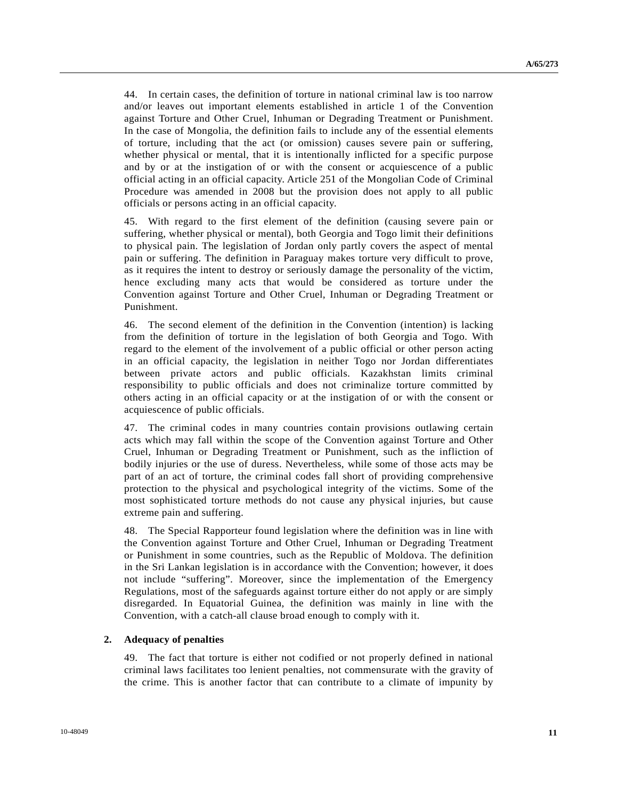44. In certain cases, the definition of torture in national criminal law is too narrow and/or leaves out important elements established in article 1 of the Convention against Torture and Other Cruel, Inhuman or Degrading Treatment or Punishment. In the case of Mongolia, the definition fails to include any of the essential elements of torture, including that the act (or omission) causes severe pain or suffering, whether physical or mental, that it is intentionally inflicted for a specific purpose and by or at the instigation of or with the consent or acquiescence of a public official acting in an official capacity. Article 251 of the Mongolian Code of Criminal Procedure was amended in 2008 but the provision does not apply to all public officials or persons acting in an official capacity.

45. With regard to the first element of the definition (causing severe pain or suffering, whether physical or mental), both Georgia and Togo limit their definitions to physical pain. The legislation of Jordan only partly covers the aspect of mental pain or suffering. The definition in Paraguay makes torture very difficult to prove, as it requires the intent to destroy or seriously damage the personality of the victim, hence excluding many acts that would be considered as torture under the Convention against Torture and Other Cruel, Inhuman or Degrading Treatment or Punishment.

46. The second element of the definition in the Convention (intention) is lacking from the definition of torture in the legislation of both Georgia and Togo. With regard to the element of the involvement of a public official or other person acting in an official capacity, the legislation in neither Togo nor Jordan differentiates between private actors and public officials. Kazakhstan limits criminal responsibility to public officials and does not criminalize torture committed by others acting in an official capacity or at the instigation of or with the consent or acquiescence of public officials.

47. The criminal codes in many countries contain provisions outlawing certain acts which may fall within the scope of the Convention against Torture and Other Cruel, Inhuman or Degrading Treatment or Punishment, such as the infliction of bodily injuries or the use of duress. Nevertheless, while some of those acts may be part of an act of torture, the criminal codes fall short of providing comprehensive protection to the physical and psychological integrity of the victims. Some of the most sophisticated torture methods do not cause any physical injuries, but cause extreme pain and suffering.

48. The Special Rapporteur found legislation where the definition was in line with the Convention against Torture and Other Cruel, Inhuman or Degrading Treatment or Punishment in some countries, such as the Republic of Moldova. The definition in the Sri Lankan legislation is in accordance with the Convention; however, it does not include "suffering". Moreover, since the implementation of the Emergency Regulations, most of the safeguards against torture either do not apply or are simply disregarded. In Equatorial Guinea, the definition was mainly in line with the Convention, with a catch-all clause broad enough to comply with it.

#### **2. Adequacy of penalties**

49. The fact that torture is either not codified or not properly defined in national criminal laws facilitates too lenient penalties, not commensurate with the gravity of the crime. This is another factor that can contribute to a climate of impunity by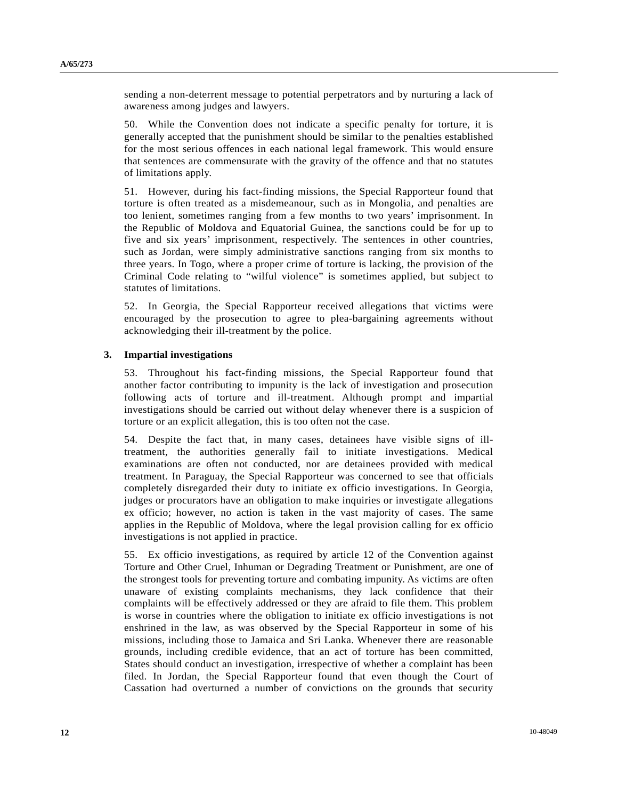sending a non-deterrent message to potential perpetrators and by nurturing a lack of awareness among judges and lawyers.

50. While the Convention does not indicate a specific penalty for torture, it is generally accepted that the punishment should be similar to the penalties established for the most serious offences in each national legal framework. This would ensure that sentences are commensurate with the gravity of the offence and that no statutes of limitations apply.

51. However, during his fact-finding missions, the Special Rapporteur found that torture is often treated as a misdemeanour, such as in Mongolia, and penalties are too lenient, sometimes ranging from a few months to two years' imprisonment. In the Republic of Moldova and Equatorial Guinea, the sanctions could be for up to five and six years' imprisonment, respectively. The sentences in other countries, such as Jordan, were simply administrative sanctions ranging from six months to three years. In Togo, where a proper crime of torture is lacking, the provision of the Criminal Code relating to "wilful violence" is sometimes applied, but subject to statutes of limitations.

52. In Georgia, the Special Rapporteur received allegations that victims were encouraged by the prosecution to agree to plea-bargaining agreements without acknowledging their ill-treatment by the police.

#### **3. Impartial investigations**

53. Throughout his fact-finding missions, the Special Rapporteur found that another factor contributing to impunity is the lack of investigation and prosecution following acts of torture and ill-treatment. Although prompt and impartial investigations should be carried out without delay whenever there is a suspicion of torture or an explicit allegation, this is too often not the case.

54. Despite the fact that, in many cases, detainees have visible signs of illtreatment, the authorities generally fail to initiate investigations. Medical examinations are often not conducted, nor are detainees provided with medical treatment. In Paraguay, the Special Rapporteur was concerned to see that officials completely disregarded their duty to initiate ex officio investigations. In Georgia, judges or procurators have an obligation to make inquiries or investigate allegations ex officio; however, no action is taken in the vast majority of cases. The same applies in the Republic of Moldova, where the legal provision calling for ex officio investigations is not applied in practice.

55. Ex officio investigations, as required by article 12 of the Convention against Torture and Other Cruel, Inhuman or Degrading Treatment or Punishment, are one of the strongest tools for preventing torture and combating impunity. As victims are often unaware of existing complaints mechanisms, they lack confidence that their complaints will be effectively addressed or they are afraid to file them. This problem is worse in countries where the obligation to initiate ex officio investigations is not enshrined in the law, as was observed by the Special Rapporteur in some of his missions, including those to Jamaica and Sri Lanka. Whenever there are reasonable grounds, including credible evidence, that an act of torture has been committed, States should conduct an investigation, irrespective of whether a complaint has been filed. In Jordan, the Special Rapporteur found that even though the Court of Cassation had overturned a number of convictions on the grounds that security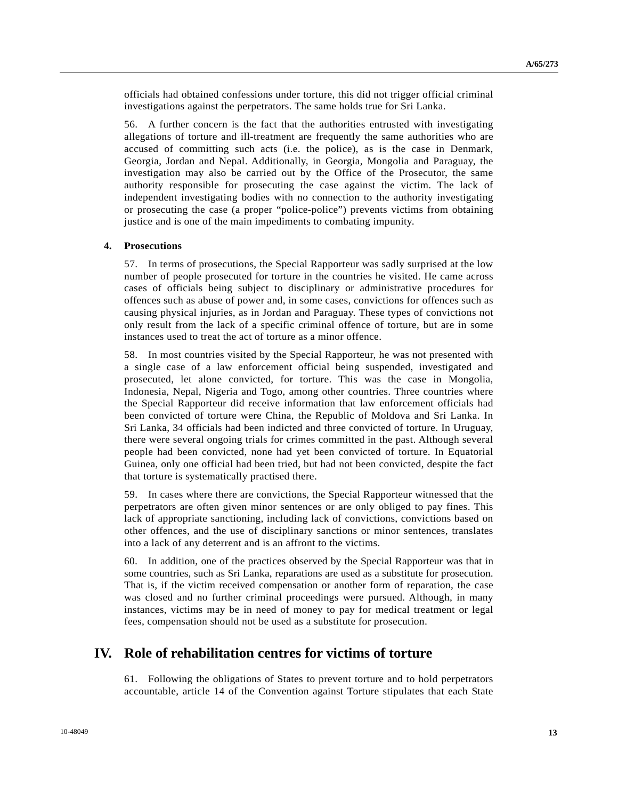officials had obtained confessions under torture, this did not trigger official criminal investigations against the perpetrators. The same holds true for Sri Lanka.

56. A further concern is the fact that the authorities entrusted with investigating allegations of torture and ill-treatment are frequently the same authorities who are accused of committing such acts (i.e. the police), as is the case in Denmark, Georgia, Jordan and Nepal. Additionally, in Georgia, Mongolia and Paraguay, the investigation may also be carried out by the Office of the Prosecutor, the same authority responsible for prosecuting the case against the victim. The lack of independent investigating bodies with no connection to the authority investigating or prosecuting the case (a proper "police-police") prevents victims from obtaining justice and is one of the main impediments to combating impunity.

#### **4. Prosecutions**

57. In terms of prosecutions, the Special Rapporteur was sadly surprised at the low number of people prosecuted for torture in the countries he visited. He came across cases of officials being subject to disciplinary or administrative procedures for offences such as abuse of power and, in some cases, convictions for offences such as causing physical injuries, as in Jordan and Paraguay. These types of convictions not only result from the lack of a specific criminal offence of torture, but are in some instances used to treat the act of torture as a minor offence.

58. In most countries visited by the Special Rapporteur, he was not presented with a single case of a law enforcement official being suspended, investigated and prosecuted, let alone convicted, for torture. This was the case in Mongolia, Indonesia, Nepal, Nigeria and Togo, among other countries. Three countries where the Special Rapporteur did receive information that law enforcement officials had been convicted of torture were China, the Republic of Moldova and Sri Lanka. In Sri Lanka, 34 officials had been indicted and three convicted of torture. In Uruguay, there were several ongoing trials for crimes committed in the past. Although several people had been convicted, none had yet been convicted of torture. In Equatorial Guinea, only one official had been tried, but had not been convicted, despite the fact that torture is systematically practised there.

59. In cases where there are convictions, the Special Rapporteur witnessed that the perpetrators are often given minor sentences or are only obliged to pay fines. This lack of appropriate sanctioning, including lack of convictions, convictions based on other offences, and the use of disciplinary sanctions or minor sentences, translates into a lack of any deterrent and is an affront to the victims.

60. In addition, one of the practices observed by the Special Rapporteur was that in some countries, such as Sri Lanka, reparations are used as a substitute for prosecution. That is, if the victim received compensation or another form of reparation, the case was closed and no further criminal proceedings were pursued. Although, in many instances, victims may be in need of money to pay for medical treatment or legal fees, compensation should not be used as a substitute for prosecution.

## **IV. Role of rehabilitation centres for victims of torture**

61. Following the obligations of States to prevent torture and to hold perpetrators accountable, article 14 of the Convention against Torture stipulates that each State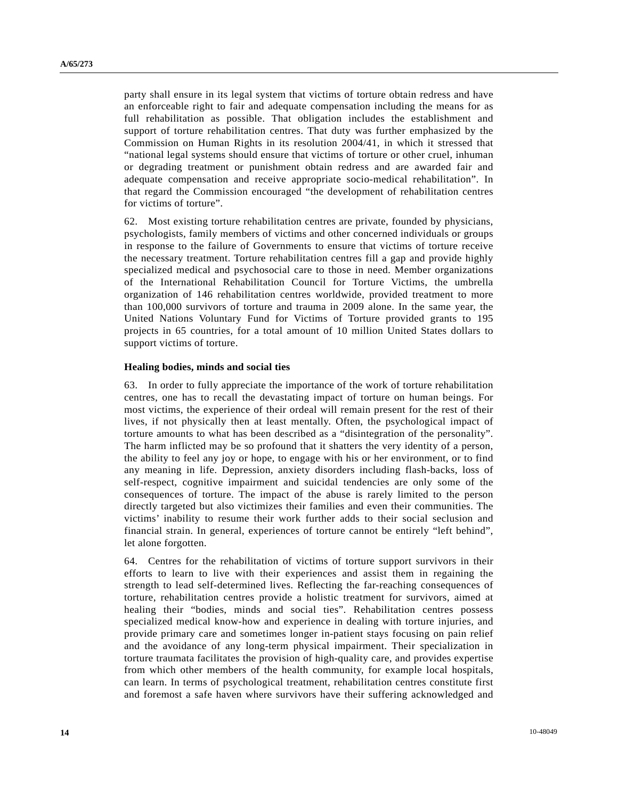party shall ensure in its legal system that victims of torture obtain redress and have an enforceable right to fair and adequate compensation including the means for as full rehabilitation as possible. That obligation includes the establishment and support of torture rehabilitation centres. That duty was further emphasized by the Commission on Human Rights in its resolution 2004/41, in which it stressed that "national legal systems should ensure that victims of torture or other cruel, inhuman or degrading treatment or punishment obtain redress and are awarded fair and adequate compensation and receive appropriate socio-medical rehabilitation". In that regard the Commission encouraged "the development of rehabilitation centres for victims of torture".

62. Most existing torture rehabilitation centres are private, founded by physicians, psychologists, family members of victims and other concerned individuals or groups in response to the failure of Governments to ensure that victims of torture receive the necessary treatment. Torture rehabilitation centres fill a gap and provide highly specialized medical and psychosocial care to those in need. Member organizations of the International Rehabilitation Council for Torture Victims, the umbrella organization of 146 rehabilitation centres worldwide, provided treatment to more than 100,000 survivors of torture and trauma in 2009 alone. In the same year, the United Nations Voluntary Fund for Victims of Torture provided grants to 195 projects in 65 countries, for a total amount of 10 million United States dollars to support victims of torture.

#### **Healing bodies, minds and social ties**

63. In order to fully appreciate the importance of the work of torture rehabilitation centres, one has to recall the devastating impact of torture on human beings. For most victims, the experience of their ordeal will remain present for the rest of their lives, if not physically then at least mentally. Often, the psychological impact of torture amounts to what has been described as a "disintegration of the personality". The harm inflicted may be so profound that it shatters the very identity of a person, the ability to feel any joy or hope, to engage with his or her environment, or to find any meaning in life. Depression, anxiety disorders including flash-backs, loss of self-respect, cognitive impairment and suicidal tendencies are only some of the consequences of torture. The impact of the abuse is rarely limited to the person directly targeted but also victimizes their families and even their communities. The victims' inability to resume their work further adds to their social seclusion and financial strain. In general, experiences of torture cannot be entirely "left behind", let alone forgotten.

64. Centres for the rehabilitation of victims of torture support survivors in their efforts to learn to live with their experiences and assist them in regaining the strength to lead self-determined lives. Reflecting the far-reaching consequences of torture, rehabilitation centres provide a holistic treatment for survivors, aimed at healing their "bodies, minds and social ties". Rehabilitation centres possess specialized medical know-how and experience in dealing with torture injuries, and provide primary care and sometimes longer in-patient stays focusing on pain relief and the avoidance of any long-term physical impairment. Their specialization in torture traumata facilitates the provision of high-quality care, and provides expertise from which other members of the health community, for example local hospitals, can learn. In terms of psychological treatment, rehabilitation centres constitute first and foremost a safe haven where survivors have their suffering acknowledged and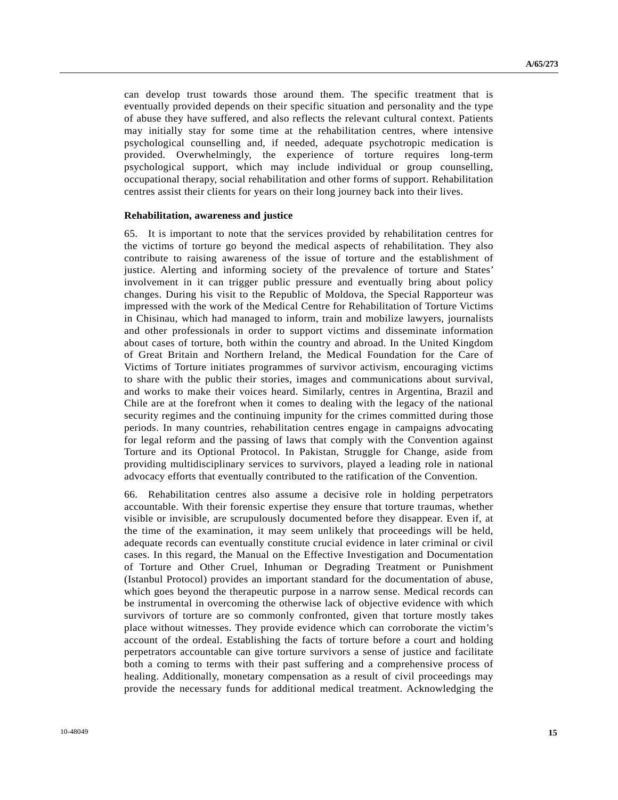can develop trust towards those around them. The specific treatment that is eventually provided depends on their specific situation and personality and the type of abuse they have suffered, and also reflects the relevant cultural context. Patients may initially stay for some time at the rehabilitation centres, where intensive psychological counselling and, if needed, adequate psychotropic medication is provided. Overwhelmingly, the experience of torture requires long-term psychological support, which may include individual or group counselling, occupational therapy, social rehabilitation and other forms of support. Rehabilitation centres assist their clients for years on their long journey back into their lives.

#### **Rehabilitation, awareness and justice**

65. It is important to note that the services provided by rehabilitation centres for the victims of torture go beyond the medical aspects of rehabilitation. They also contribute to raising awareness of the issue of torture and the establishment of justice. Alerting and informing society of the prevalence of torture and States' involvement in it can trigger public pressure and eventually bring about policy changes. During his visit to the Republic of Moldova, the Special Rapporteur was impressed with the work of the Medical Centre for Rehabilitation of Torture Victims in Chisinau, which had managed to inform, train and mobilize lawyers, journalists and other professionals in order to support victims and disseminate information about cases of torture, both within the country and abroad. In the United Kingdom of Great Britain and Northern Ireland, the Medical Foundation for the Care of Victims of Torture initiates programmes of survivor activism, encouraging victims to share with the public their stories, images and communications about survival, and works to make their voices heard. Similarly, centres in Argentina, Brazil and Chile are at the forefront when it comes to dealing with the legacy of the national security regimes and the continuing impunity for the crimes committed during those periods. In many countries, rehabilitation centres engage in campaigns advocating for legal reform and the passing of laws that comply with the Convention against Torture and its Optional Protocol. In Pakistan, Struggle for Change, aside from providing multidisciplinary services to survivors, played a leading role in national advocacy efforts that eventually contributed to the ratification of the Convention.

66. Rehabilitation centres also assume a decisive role in holding perpetrators accountable. With their forensic expertise they ensure that torture traumas, whether visible or invisible, are scrupulously documented before they disappear. Even if, at the time of the examination, it may seem unlikely that proceedings will be held, adequate records can eventually constitute crucial evidence in later criminal or civil cases. In this regard, the Manual on the Effective Investigation and Documentation of Torture and Other Cruel, Inhuman or Degrading Treatment or Punishment (Istanbul Protocol) provides an important standard for the documentation of abuse, which goes beyond the therapeutic purpose in a narrow sense. Medical records can be instrumental in overcoming the otherwise lack of objective evidence with which survivors of torture are so commonly confronted, given that torture mostly takes place without witnesses. They provide evidence which can corroborate the victim's account of the ordeal. Establishing the facts of torture before a court and holding perpetrators accountable can give torture survivors a sense of justice and facilitate both a coming to terms with their past suffering and a comprehensive process of healing. Additionally, monetary compensation as a result of civil proceedings may provide the necessary funds for additional medical treatment. Acknowledging the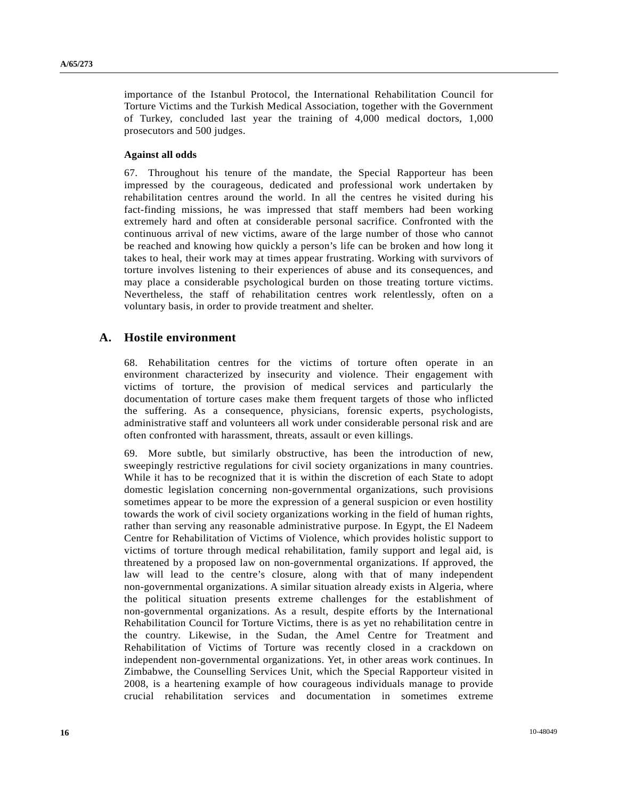importance of the Istanbul Protocol, the International Rehabilitation Council for Torture Victims and the Turkish Medical Association, together with the Government of Turkey, concluded last year the training of 4,000 medical doctors, 1,000 prosecutors and 500 judges.

#### **Against all odds**

67. Throughout his tenure of the mandate, the Special Rapporteur has been impressed by the courageous, dedicated and professional work undertaken by rehabilitation centres around the world. In all the centres he visited during his fact-finding missions, he was impressed that staff members had been working extremely hard and often at considerable personal sacrifice. Confronted with the continuous arrival of new victims, aware of the large number of those who cannot be reached and knowing how quickly a person's life can be broken and how long it takes to heal, their work may at times appear frustrating. Working with survivors of torture involves listening to their experiences of abuse and its consequences, and may place a considerable psychological burden on those treating torture victims. Nevertheless, the staff of rehabilitation centres work relentlessly, often on a voluntary basis, in order to provide treatment and shelter.

### **A. Hostile environment**

68. Rehabilitation centres for the victims of torture often operate in an environment characterized by insecurity and violence. Their engagement with victims of torture, the provision of medical services and particularly the documentation of torture cases make them frequent targets of those who inflicted the suffering. As a consequence, physicians, forensic experts, psychologists, administrative staff and volunteers all work under considerable personal risk and are often confronted with harassment, threats, assault or even killings.

69. More subtle, but similarly obstructive, has been the introduction of new, sweepingly restrictive regulations for civil society organizations in many countries. While it has to be recognized that it is within the discretion of each State to adopt domestic legislation concerning non-governmental organizations, such provisions sometimes appear to be more the expression of a general suspicion or even hostility towards the work of civil society organizations working in the field of human rights, rather than serving any reasonable administrative purpose. In Egypt, the El Nadeem Centre for Rehabilitation of Victims of Violence, which provides holistic support to victims of torture through medical rehabilitation, family support and legal aid, is threatened by a proposed law on non-governmental organizations. If approved, the law will lead to the centre's closure, along with that of many independent non-governmental organizations. A similar situation already exists in Algeria, where the political situation presents extreme challenges for the establishment of non-governmental organizations. As a result, despite efforts by the International Rehabilitation Council for Torture Victims, there is as yet no rehabilitation centre in the country. Likewise, in the Sudan, the Amel Centre for Treatment and Rehabilitation of Victims of Torture was recently closed in a crackdown on independent non-governmental organizations. Yet, in other areas work continues. In Zimbabwe, the Counselling Services Unit, which the Special Rapporteur visited in 2008, is a heartening example of how courageous individuals manage to provide crucial rehabilitation services and documentation in sometimes extreme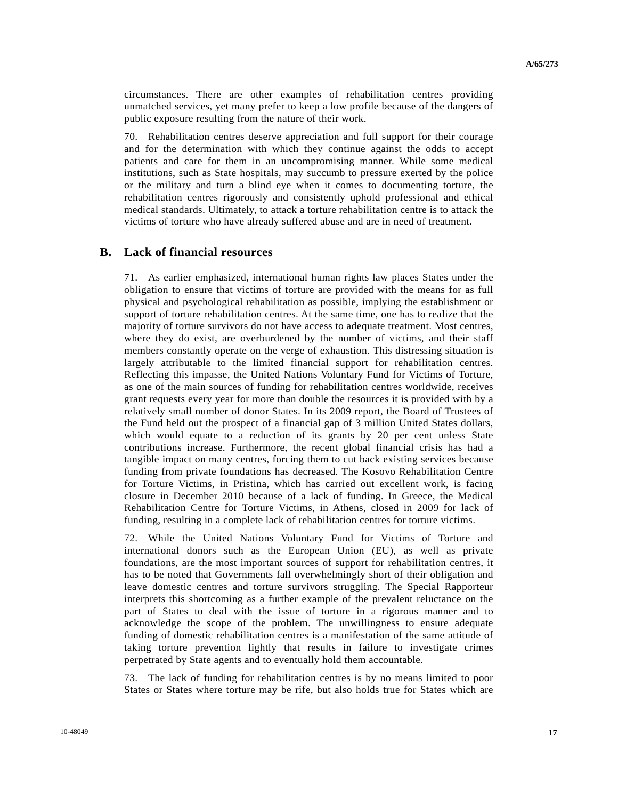circumstances. There are other examples of rehabilitation centres providing unmatched services, yet many prefer to keep a low profile because of the dangers of public exposure resulting from the nature of their work.

70. Rehabilitation centres deserve appreciation and full support for their courage and for the determination with which they continue against the odds to accept patients and care for them in an uncompromising manner. While some medical institutions, such as State hospitals, may succumb to pressure exerted by the police or the military and turn a blind eye when it comes to documenting torture, the rehabilitation centres rigorously and consistently uphold professional and ethical medical standards. Ultimately, to attack a torture rehabilitation centre is to attack the victims of torture who have already suffered abuse and are in need of treatment.

### **B. Lack of financial resources**

71. As earlier emphasized, international human rights law places States under the obligation to ensure that victims of torture are provided with the means for as full physical and psychological rehabilitation as possible, implying the establishment or support of torture rehabilitation centres. At the same time, one has to realize that the majority of torture survivors do not have access to adequate treatment. Most centres, where they do exist, are overburdened by the number of victims, and their staff members constantly operate on the verge of exhaustion. This distressing situation is largely attributable to the limited financial support for rehabilitation centres. Reflecting this impasse, the United Nations Voluntary Fund for Victims of Torture, as one of the main sources of funding for rehabilitation centres worldwide, receives grant requests every year for more than double the resources it is provided with by a relatively small number of donor States. In its 2009 report, the Board of Trustees of the Fund held out the prospect of a financial gap of 3 million United States dollars, which would equate to a reduction of its grants by 20 per cent unless State contributions increase. Furthermore, the recent global financial crisis has had a tangible impact on many centres, forcing them to cut back existing services because funding from private foundations has decreased. The Kosovo Rehabilitation Centre for Torture Victims, in Pristina, which has carried out excellent work, is facing closure in December 2010 because of a lack of funding. In Greece, the Medical Rehabilitation Centre for Torture Victims, in Athens, closed in 2009 for lack of funding, resulting in a complete lack of rehabilitation centres for torture victims.

72. While the United Nations Voluntary Fund for Victims of Torture and international donors such as the European Union (EU), as well as private foundations, are the most important sources of support for rehabilitation centres, it has to be noted that Governments fall overwhelmingly short of their obligation and leave domestic centres and torture survivors struggling. The Special Rapporteur interprets this shortcoming as a further example of the prevalent reluctance on the part of States to deal with the issue of torture in a rigorous manner and to acknowledge the scope of the problem. The unwillingness to ensure adequate funding of domestic rehabilitation centres is a manifestation of the same attitude of taking torture prevention lightly that results in failure to investigate crimes perpetrated by State agents and to eventually hold them accountable.

73. The lack of funding for rehabilitation centres is by no means limited to poor States or States where torture may be rife, but also holds true for States which are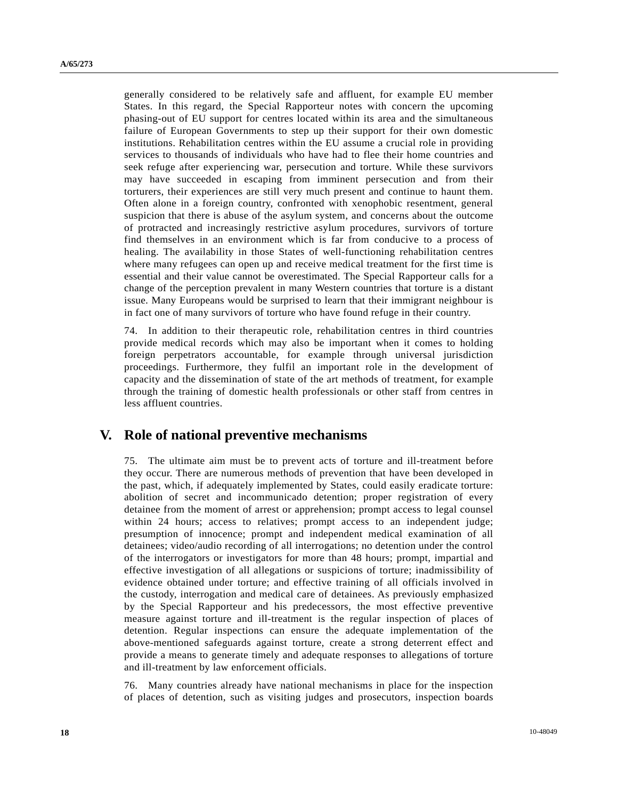generally considered to be relatively safe and affluent, for example EU member States. In this regard, the Special Rapporteur notes with concern the upcoming phasing-out of EU support for centres located within its area and the simultaneous failure of European Governments to step up their support for their own domestic institutions. Rehabilitation centres within the EU assume a crucial role in providing services to thousands of individuals who have had to flee their home countries and seek refuge after experiencing war, persecution and torture. While these survivors may have succeeded in escaping from imminent persecution and from their torturers, their experiences are still very much present and continue to haunt them. Often alone in a foreign country, confronted with xenophobic resentment, general suspicion that there is abuse of the asylum system, and concerns about the outcome of protracted and increasingly restrictive asylum procedures, survivors of torture find themselves in an environment which is far from conducive to a process of healing. The availability in those States of well-functioning rehabilitation centres where many refugees can open up and receive medical treatment for the first time is essential and their value cannot be overestimated. The Special Rapporteur calls for a change of the perception prevalent in many Western countries that torture is a distant issue. Many Europeans would be surprised to learn that their immigrant neighbour is in fact one of many survivors of torture who have found refuge in their country.

74. In addition to their therapeutic role, rehabilitation centres in third countries provide medical records which may also be important when it comes to holding foreign perpetrators accountable, for example through universal jurisdiction proceedings. Furthermore, they fulfil an important role in the development of capacity and the dissemination of state of the art methods of treatment, for example through the training of domestic health professionals or other staff from centres in less affluent countries.

## **V. Role of national preventive mechanisms**

75. The ultimate aim must be to prevent acts of torture and ill-treatment before they occur. There are numerous methods of prevention that have been developed in the past, which, if adequately implemented by States, could easily eradicate torture: abolition of secret and incommunicado detention; proper registration of every detainee from the moment of arrest or apprehension; prompt access to legal counsel within 24 hours; access to relatives; prompt access to an independent judge; presumption of innocence; prompt and independent medical examination of all detainees; video/audio recording of all interrogations; no detention under the control of the interrogators or investigators for more than 48 hours; prompt, impartial and effective investigation of all allegations or suspicions of torture; inadmissibility of evidence obtained under torture; and effective training of all officials involved in the custody, interrogation and medical care of detainees. As previously emphasized by the Special Rapporteur and his predecessors, the most effective preventive measure against torture and ill-treatment is the regular inspection of places of detention. Regular inspections can ensure the adequate implementation of the above-mentioned safeguards against torture, create a strong deterrent effect and provide a means to generate timely and adequate responses to allegations of torture and ill-treatment by law enforcement officials.

76. Many countries already have national mechanisms in place for the inspection of places of detention, such as visiting judges and prosecutors, inspection boards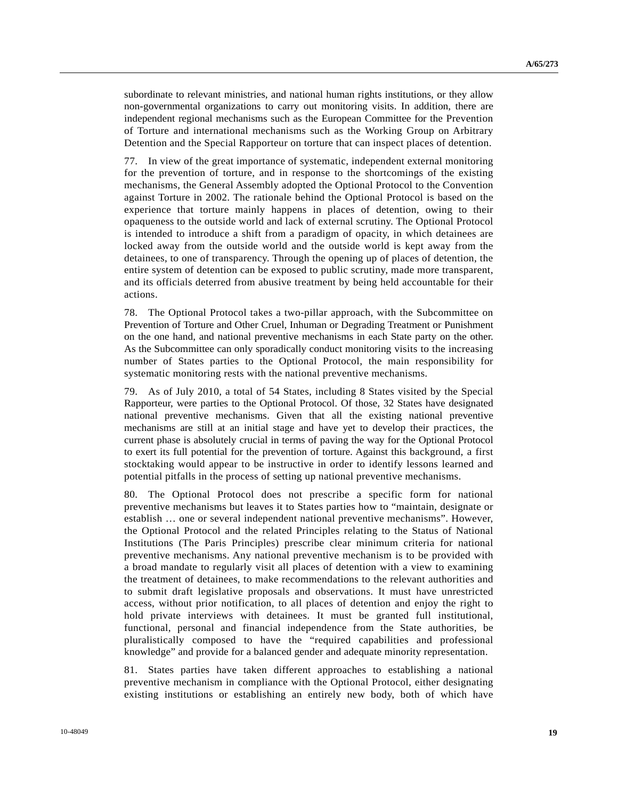subordinate to relevant ministries, and national human rights institutions, or they allow non-governmental organizations to carry out monitoring visits. In addition, there are independent regional mechanisms such as the European Committee for the Prevention of Torture and international mechanisms such as the Working Group on Arbitrary Detention and the Special Rapporteur on torture that can inspect places of detention.

77. In view of the great importance of systematic, independent external monitoring for the prevention of torture, and in response to the shortcomings of the existing mechanisms, the General Assembly adopted the Optional Protocol to the Convention against Torture in 2002. The rationale behind the Optional Protocol is based on the experience that torture mainly happens in places of detention, owing to their opaqueness to the outside world and lack of external scrutiny. The Optional Protocol is intended to introduce a shift from a paradigm of opacity, in which detainees are locked away from the outside world and the outside world is kept away from the detainees, to one of transparency. Through the opening up of places of detention, the entire system of detention can be exposed to public scrutiny, made more transparent, and its officials deterred from abusive treatment by being held accountable for their actions.

78. The Optional Protocol takes a two-pillar approach, with the Subcommittee on Prevention of Torture and Other Cruel, Inhuman or Degrading Treatment or Punishment on the one hand, and national preventive mechanisms in each State party on the other. As the Subcommittee can only sporadically conduct monitoring visits to the increasing number of States parties to the Optional Protocol, the main responsibility for systematic monitoring rests with the national preventive mechanisms.

79. As of July 2010, a total of 54 States, including 8 States visited by the Special Rapporteur, were parties to the Optional Protocol. Of those, 32 States have designated national preventive mechanisms. Given that all the existing national preventive mechanisms are still at an initial stage and have yet to develop their practices, the current phase is absolutely crucial in terms of paving the way for the Optional Protocol to exert its full potential for the prevention of torture. Against this background, a first stocktaking would appear to be instructive in order to identify lessons learned and potential pitfalls in the process of setting up national preventive mechanisms.

80. The Optional Protocol does not prescribe a specific form for national preventive mechanisms but leaves it to States parties how to "maintain, designate or establish … one or several independent national preventive mechanisms". However, the Optional Protocol and the related Principles relating to the Status of National Institutions (The Paris Principles) prescribe clear minimum criteria for national preventive mechanisms. Any national preventive mechanism is to be provided with a broad mandate to regularly visit all places of detention with a view to examining the treatment of detainees, to make recommendations to the relevant authorities and to submit draft legislative proposals and observations. It must have unrestricted access, without prior notification, to all places of detention and enjoy the right to hold private interviews with detainees. It must be granted full institutional, functional, personal and financial independence from the State authorities, be pluralistically composed to have the "required capabilities and professional knowledge" and provide for a balanced gender and adequate minority representation.

81. States parties have taken different approaches to establishing a national preventive mechanism in compliance with the Optional Protocol, either designating existing institutions or establishing an entirely new body, both of which have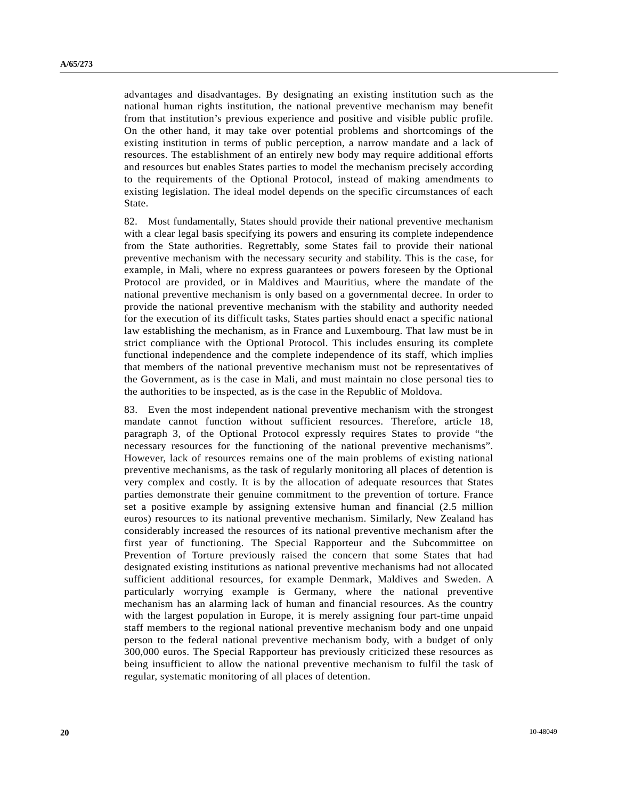advantages and disadvantages. By designating an existing institution such as the national human rights institution, the national preventive mechanism may benefit from that institution's previous experience and positive and visible public profile. On the other hand, it may take over potential problems and shortcomings of the existing institution in terms of public perception, a narrow mandate and a lack of resources. The establishment of an entirely new body may require additional efforts and resources but enables States parties to model the mechanism precisely according to the requirements of the Optional Protocol, instead of making amendments to existing legislation. The ideal model depends on the specific circumstances of each State.

82. Most fundamentally, States should provide their national preventive mechanism with a clear legal basis specifying its powers and ensuring its complete independence from the State authorities. Regrettably, some States fail to provide their national preventive mechanism with the necessary security and stability. This is the case, for example, in Mali, where no express guarantees or powers foreseen by the Optional Protocol are provided, or in Maldives and Mauritius, where the mandate of the national preventive mechanism is only based on a governmental decree. In order to provide the national preventive mechanism with the stability and authority needed for the execution of its difficult tasks, States parties should enact a specific national law establishing the mechanism, as in France and Luxembourg. That law must be in strict compliance with the Optional Protocol. This includes ensuring its complete functional independence and the complete independence of its staff, which implies that members of the national preventive mechanism must not be representatives of the Government, as is the case in Mali, and must maintain no close personal ties to the authorities to be inspected, as is the case in the Republic of Moldova.

83. Even the most independent national preventive mechanism with the strongest mandate cannot function without sufficient resources. Therefore, article 18, paragraph 3, of the Optional Protocol expressly requires States to provide "the necessary resources for the functioning of the national preventive mechanisms". However, lack of resources remains one of the main problems of existing national preventive mechanisms, as the task of regularly monitoring all places of detention is very complex and costly. It is by the allocation of adequate resources that States parties demonstrate their genuine commitment to the prevention of torture. France set a positive example by assigning extensive human and financial (2.5 million euros) resources to its national preventive mechanism. Similarly, New Zealand has considerably increased the resources of its national preventive mechanism after the first year of functioning. The Special Rapporteur and the Subcommittee on Prevention of Torture previously raised the concern that some States that had designated existing institutions as national preventive mechanisms had not allocated sufficient additional resources, for example Denmark, Maldives and Sweden. A particularly worrying example is Germany, where the national preventive mechanism has an alarming lack of human and financial resources. As the country with the largest population in Europe, it is merely assigning four part-time unpaid staff members to the regional national preventive mechanism body and one unpaid person to the federal national preventive mechanism body, with a budget of only 300,000 euros. The Special Rapporteur has previously criticized these resources as being insufficient to allow the national preventive mechanism to fulfil the task of regular, systematic monitoring of all places of detention.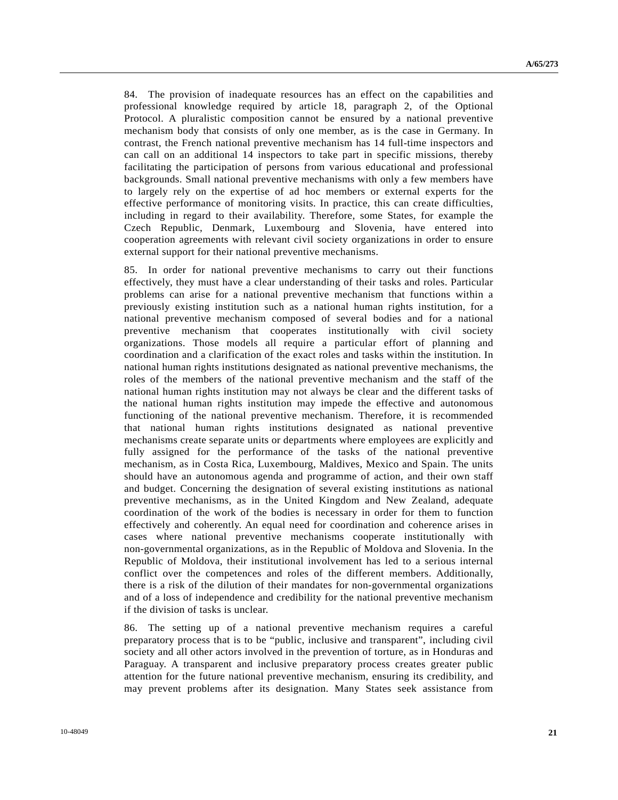84. The provision of inadequate resources has an effect on the capabilities and professional knowledge required by article 18, paragraph 2, of the Optional Protocol. A pluralistic composition cannot be ensured by a national preventive mechanism body that consists of only one member, as is the case in Germany. In contrast, the French national preventive mechanism has 14 full-time inspectors and can call on an additional 14 inspectors to take part in specific missions, thereby facilitating the participation of persons from various educational and professional backgrounds. Small national preventive mechanisms with only a few members have to largely rely on the expertise of ad hoc members or external experts for the effective performance of monitoring visits. In practice, this can create difficulties, including in regard to their availability. Therefore, some States, for example the Czech Republic, Denmark, Luxembourg and Slovenia, have entered into cooperation agreements with relevant civil society organizations in order to ensure external support for their national preventive mechanisms.

85. In order for national preventive mechanisms to carry out their functions effectively, they must have a clear understanding of their tasks and roles. Particular problems can arise for a national preventive mechanism that functions within a previously existing institution such as a national human rights institution, for a national preventive mechanism composed of several bodies and for a national preventive mechanism that cooperates institutionally with civil society organizations. Those models all require a particular effort of planning and coordination and a clarification of the exact roles and tasks within the institution. In national human rights institutions designated as national preventive mechanisms, the roles of the members of the national preventive mechanism and the staff of the national human rights institution may not always be clear and the different tasks of the national human rights institution may impede the effective and autonomous functioning of the national preventive mechanism. Therefore, it is recommended that national human rights institutions designated as national preventive mechanisms create separate units or departments where employees are explicitly and fully assigned for the performance of the tasks of the national preventive mechanism, as in Costa Rica, Luxembourg, Maldives, Mexico and Spain. The units should have an autonomous agenda and programme of action, and their own staff and budget. Concerning the designation of several existing institutions as national preventive mechanisms, as in the United Kingdom and New Zealand, adequate coordination of the work of the bodies is necessary in order for them to function effectively and coherently. An equal need for coordination and coherence arises in cases where national preventive mechanisms cooperate institutionally with non-governmental organizations, as in the Republic of Moldova and Slovenia. In the Republic of Moldova, their institutional involvement has led to a serious internal conflict over the competences and roles of the different members. Additionally, there is a risk of the dilution of their mandates for non-governmental organizations and of a loss of independence and credibility for the national preventive mechanism if the division of tasks is unclear.

86. The setting up of a national preventive mechanism requires a careful preparatory process that is to be "public, inclusive and transparent", including civil society and all other actors involved in the prevention of torture, as in Honduras and Paraguay. A transparent and inclusive preparatory process creates greater public attention for the future national preventive mechanism, ensuring its credibility, and may prevent problems after its designation. Many States seek assistance from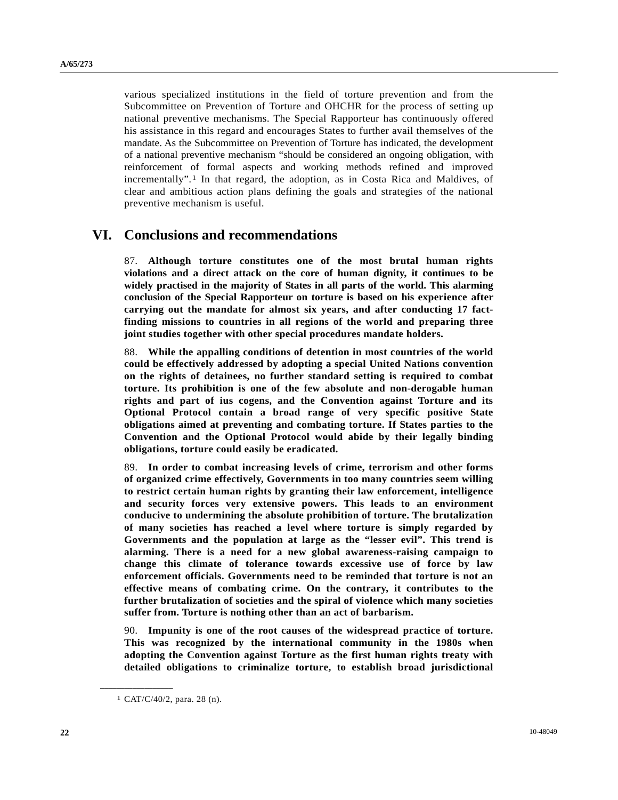various specialized institutions in the field of torture prevention and from the Subcommittee on Prevention of Torture and OHCHR for the process of setting up national preventive mechanisms. The Special Rapporteur has continuously offered his assistance in this regard and encourages States to further avail themselves of the mandate. As the Subcommittee on Prevention of Torture has indicated, the development of a national preventive mechanism "should be considered an ongoing obligation, with reinforcement of formal aspects and working methods refined and improved incrementally".[1](#page-21-0) In that regard, the adoption, as in Costa Rica and Maldives, of clear and ambitious action plans defining the goals and strategies of the national preventive mechanism is useful.

## **VI. Conclusions and recommendations**

87. **Although torture constitutes one of the most brutal human rights violations and a direct attack on the core of human dignity, it continues to be widely practised in the majority of States in all parts of the world. This alarming conclusion of the Special Rapporteur on torture is based on his experience after carrying out the mandate for almost six years, and after conducting 17 factfinding missions to countries in all regions of the world and preparing three joint studies together with other special procedures mandate holders.** 

88. **While the appalling conditions of detention in most countries of the world could be effectively addressed by adopting a special United Nations convention on the rights of detainees, no further standard setting is required to combat torture. Its prohibition is one of the few absolute and non-derogable human rights and part of ius cogens, and the Convention against Torture and its Optional Protocol contain a broad range of very specific positive State obligations aimed at preventing and combating torture. If States parties to the Convention and the Optional Protocol would abide by their legally binding obligations, torture could easily be eradicated.** 

89. **In order to combat increasing levels of crime, terrorism and other forms of organized crime effectively, Governments in too many countries seem willing to restrict certain human rights by granting their law enforcement, intelligence and security forces very extensive powers. This leads to an environment conducive to undermining the absolute prohibition of torture. The brutalization of many societies has reached a level where torture is simply regarded by Governments and the population at large as the "lesser evil". This trend is alarming. There is a need for a new global awareness-raising campaign to change this climate of tolerance towards excessive use of force by law enforcement officials. Governments need to be reminded that torture is not an effective means of combating crime. On the contrary, it contributes to the further brutalization of societies and the spiral of violence which many societies suffer from. Torture is nothing other than an act of barbarism.** 

90. **Impunity is one of the root causes of the widespread practice of torture. This was recognized by the international community in the 1980s when adopting the Convention against Torture as the first human rights treaty with detailed obligations to criminalize torture, to establish broad jurisdictional** 

<span id="page-21-0"></span>**\_\_\_\_\_\_\_\_\_\_\_\_\_\_\_\_\_\_** 

<sup>1</sup> CAT/C/40/2, para. 28 (n).